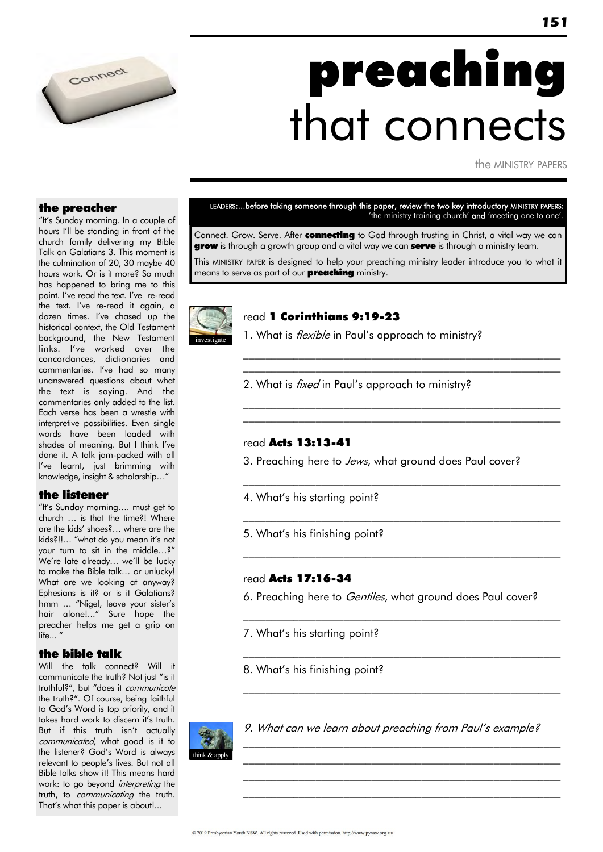

# preaching that connects

the MINISTRY PAPERS

### the preacher

"It"s Sunday morning. In a couple of hours I"ll be standing in front of the church family delivering my Bible Talk on Galatians 3. This moment is the culmination of 20, 30 maybe 40 hours work. Or is it more? So much has happened to bring me to this point. I've read the text. I've re-read the text. I've re-read it again, a dozen times. I've chased up the historical context, the Old Testament background, the New Testament links. I've worked over the concordances, dictionaries and commentaries. I've had so many unanswered questions about what the text is saying. And the commentaries only added to the list. Each verse has been a wrestle with interpretive possibilities. Even single words have been loaded with shades of meaning. But I think I"ve done it. A talk jam-packed with all I've learnt, just brimming with knowledge, insight & scholarship…"

### the listener

"It"s Sunday morning…. must get to church … is that the time?! Where are the kids" shoes?… where are the kids?!!... "what do you mean it's not your turn to sit in the middle…?" We're late already... we'll be lucky to make the Bible talk… or unlucky! What are we looking at anyway? Ephesians is it? or is it Galatians? hmm ... "Nigel, leave your sister's hair alone!..." Sure hope the preacher helps me get a grip on life..."

### the bible talk

Will the talk connect? Will it communicate the truth? Not just "is it truthful?", but "does it communicate the truth?". Of course, being faithful to God"s Word is top priority, and it takes hard work to discern it's truth. But if this truth isn"t actually communicated, what good is it to the listener? God"s Word is always relevant to people"s lives. But not all Bible talks show it! This means hard work: to go beyond *interpreting* the truth, to *communicating* the truth. That"s what this paper is about!...

LEADERS:...before taking someone through this paper, review the two key introductory MINISTRY PAPERS: 'the ministry training church' and 'meeting one to one'.

Connect. Grow. Serve. After connecting to God through trusting in Christ, a vital way we can **grow** is through a growth group and a vital way we can **serve** is through a ministry team. This MINISTRY PAPER is designed to help your preaching ministry leader introduce you to what it means to serve as part of our **preaching** ministry.



### read 1 Corinthians 9:19-23

1. What is *flexible* in Paul's approach to ministry?

 $\mathcal{L}_\text{max}$  and the contract of the contract of the contract of the contract of the contract of the contract of  $\mathcal{L}_\text{max}$  and the contract of the contract of the contract of the contract of the contract of the contract of

 $\mathcal{L}_\text{max}$  and the contract of the contract of the contract of the contract of the contract of the contract of  $\mathcal{L}_\text{max}$  and the contract of the contract of the contract of the contract of the contract of the contract of

\_\_\_\_\_\_\_\_\_\_\_\_\_\_\_\_\_\_\_\_\_\_\_\_\_\_\_\_\_\_\_\_\_\_\_\_\_\_\_\_\_\_\_\_\_\_\_\_\_\_\_\_\_\_\_\_\_

\_\_\_\_\_\_\_\_\_\_\_\_\_\_\_\_\_\_\_\_\_\_\_\_\_\_\_\_\_\_\_\_\_\_\_\_\_\_\_\_\_\_\_\_\_\_\_\_\_\_\_\_\_\_\_\_\_

\_\_\_\_\_\_\_\_\_\_\_\_\_\_\_\_\_\_\_\_\_\_\_\_\_\_\_\_\_\_\_\_\_\_\_\_\_\_\_\_\_\_\_\_\_\_\_\_\_\_\_\_\_\_\_\_\_

 $\mathcal{L}_\text{max}$  and the contract of the contract of the contract of the contract of the contract of the contract of

 $\mathcal{L}_\text{max}$  and the contract of the contract of the contract of the contract of the contract of the contract of

\_\_\_\_\_\_\_\_\_\_\_\_\_\_\_\_\_\_\_\_\_\_\_\_\_\_\_\_\_\_\_\_\_\_\_\_\_\_\_\_\_\_\_\_\_\_\_\_\_\_\_\_\_\_\_\_\_

 $\mathcal{L}_\text{max}$  and the contract of the contract of the contract of the contract of the contract of the contract of  $\mathcal{L}_\text{max}$  and the contract of the contract of the contract of the contract of the contract of the contract of the contract of the contract of the contract of the contract of the contract of the contract of the contrac  $\mathcal{L}_\text{max}$  and the contract of the contract of the contract of the contract of the contract of the contract of  $\mathcal{L}_\text{max}$  and the contract of the contract of the contract of the contract of the contract of the contract of

2. What is *fixed* in Paul's approach to ministry?

### read Acts 13:13-41

3. Preaching here to Jews, what ground does Paul cover?

- 4. What"s his starting point?
- 5. What"s his finishing point?

### read Acts 17:16-34

6. Preaching here to *Gentiles*, what ground does Paul cover?

7. What"s his starting point?

8. What"s his finishing point?



9. What can we learn about preaching from Paul"s example?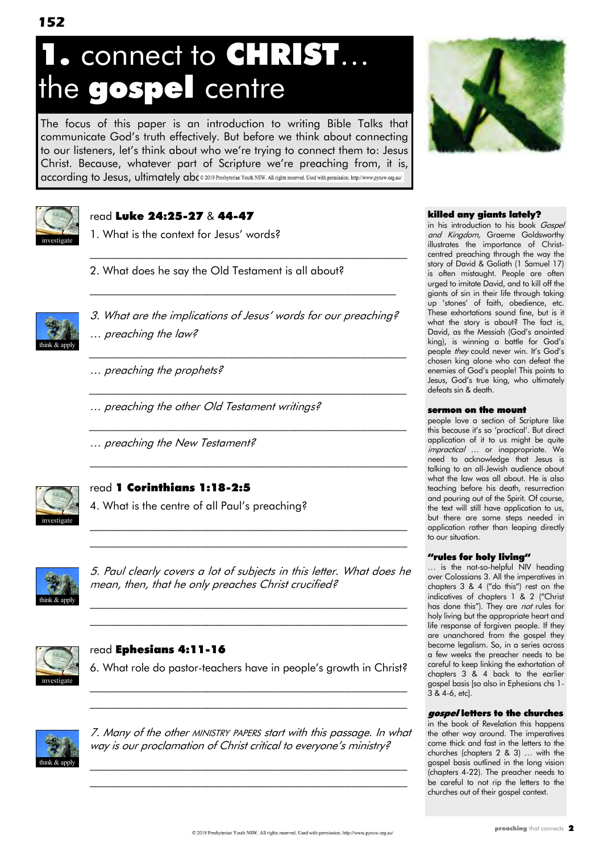# 1. connect to CHRIST… the gospel centre

The focus of this paper is an introduction to writing Bible Talks that communicate God"s truth effectively. But before we think about connecting to our listeners, let"s think about who we"re trying to connect them to: Jesus Christ. Because, whatever part of Scripture we"re preaching from, it is, according to Jesus, ultimately abc @ 2019 Presbyterian Youth NSW. All rights reserved. Used with permission. http://www.pynsw.org.au/



### read Luke 24:25-27 & 44-47

1. What is the context for Jesus' words?

2. What does he say the Old Testament is all about?



3. What are the implications of Jesus' words for our preaching? … preaching the law?

\_\_\_\_\_\_\_\_\_\_\_\_\_\_\_\_\_\_\_\_\_\_\_\_\_\_\_\_\_\_\_\_\_\_\_\_\_\_\_\_\_\_\_\_\_\_\_\_\_\_\_\_\_\_\_\_\_

\_\_\_\_\_\_\_\_\_\_\_\_\_\_\_\_\_\_\_\_\_\_\_\_\_\_\_\_\_\_\_\_\_\_\_\_\_\_\_\_\_\_\_\_\_\_\_\_\_\_\_\_\_\_\_\_\_

\_\_\_\_\_\_\_\_\_\_\_\_\_\_\_\_\_\_\_\_\_\_\_\_\_\_\_\_\_\_\_\_\_\_\_\_\_\_\_\_\_\_\_\_\_\_\_\_\_\_\_\_\_\_\_\_\_

 $\mathcal{L}_\text{max}$  and the contract of the contract of the contract of the contract of the contract of the contract of

 $\mathcal{L}_\text{max}$  and the contract of the contract of the contract of the contract of the contract of the contract of the contract of the contract of the contract of the contract of the contract of the contract of the contrac

 $\mathcal{L}_\text{max}$  and the contract of the contract of the contract of the contract of the contract of the contract of

- … preaching the prophets?
- … preaching the other Old Testament writings?
- … preaching the New Testament?



### read 1 Corinthians 1:18-2:5

4. What is the centre of all Paul"s preaching?



5. Paul clearly covers a lot of subjects in this letter. What does he mean, then, that he only preaches Christ crucified?

\_\_\_\_\_\_\_\_\_\_\_\_\_\_\_\_\_\_\_\_\_\_\_\_\_\_\_\_\_\_\_\_\_\_\_\_\_\_\_\_\_\_\_\_\_\_\_\_\_\_\_\_\_\_\_\_\_

 $\mathcal{L}_\text{max}$  and the contract of the contract of the contract of the contract of the contract of the contract of  $\mathcal{L}_\text{max}$  and the contract of the contract of the contract of the contract of the contract of the contract of



### read Ephesians 4:11-16

6. What role do pastor-teachers have in people"s growth in Christ? \_\_\_\_\_\_\_\_\_\_\_\_\_\_\_\_\_\_\_\_\_\_\_\_\_\_\_\_\_\_\_\_\_\_\_\_\_\_\_\_\_\_\_\_\_\_\_\_\_\_\_\_\_\_\_\_\_

\_\_\_\_\_\_\_\_\_\_\_\_\_\_\_\_\_\_\_\_\_\_\_\_\_\_\_\_\_\_\_\_\_\_\_\_\_\_\_\_\_\_\_\_\_\_\_\_\_\_\_\_\_\_\_\_\_



7. Many of the other MINISTRY PAPERS start with this passage. In what way is our proclamation of Christ critical to everyone's ministry?

 $\mathcal{L}_\text{max}$  and the contract of the contract of the contract of the contract of the contract of the contract of the contract of the contract of the contract of the contract of the contract of the contract of the contrac \_\_\_\_\_\_\_\_\_\_\_\_\_\_\_\_\_\_\_\_\_\_\_\_\_\_\_\_\_\_\_\_\_\_\_\_\_\_\_\_\_\_\_\_\_\_\_\_\_\_\_\_\_\_\_\_\_



### killed any giants lately?

in his introduction to his book Gospel and Kingdom, Graeme Goldsworthy illustrates the importance of Christcentred preaching through the way the story of David & Goliath (1 Samuel 17) is often mistaught. People are often urged to imitate David, and to kill off the giants of sin in their life through taking up "stones" of faith, obedience, etc. These exhortations sound fine, but is it what the story is about? The fact is, David, as the Messiah (God's anointed king), is winning a battle for God's people they could never win. It's God's chosen king alone who can defeat the enemies of God"s people! This points to Jesus, God"s true king, who ultimately defeats sin & death.

### sermon on the mount

people love a section of Scripture like this because it's so 'practical'. But direct application of it to us might be quite impractical ... or inappropriate. We need to acknowledge that Jesus is talking to an all-Jewish audience about what the law was all about. He is also teaching before his death, resurrection and pouring out of the Spirit. Of course, the text will still have application to us, but there are some steps needed in application rather than leaping directly to our situation.

### "rules for holy living"

… is the not-so-helpful NIV heading over Colossians 3. All the imperatives in chapters 3 & 4 ("do this") rest on the indicatives of chapters 1 & 2 ("Christ has done this"). They are not rules for holy living but the appropriate heart and life response of forgiven people. If they are unanchored from the gospel they become legalism. So, in a series across a few weeks the preacher needs to be careful to keep linking the exhortation of chapters 3 & 4 back to the earlier gospel basis [so also in Ephesians chs 1- 3 & 4-6, etc].

### gospel letters to the churches

in the book of Revelation this happens the other way around. The imperatives come thick and fast in the letters to the churches (chapters 2 & 3) … with the gospel basis outlined in the long vision (chapters 4-22). The preacher needs to be careful to not rip the letters to the churches out of their gospel context.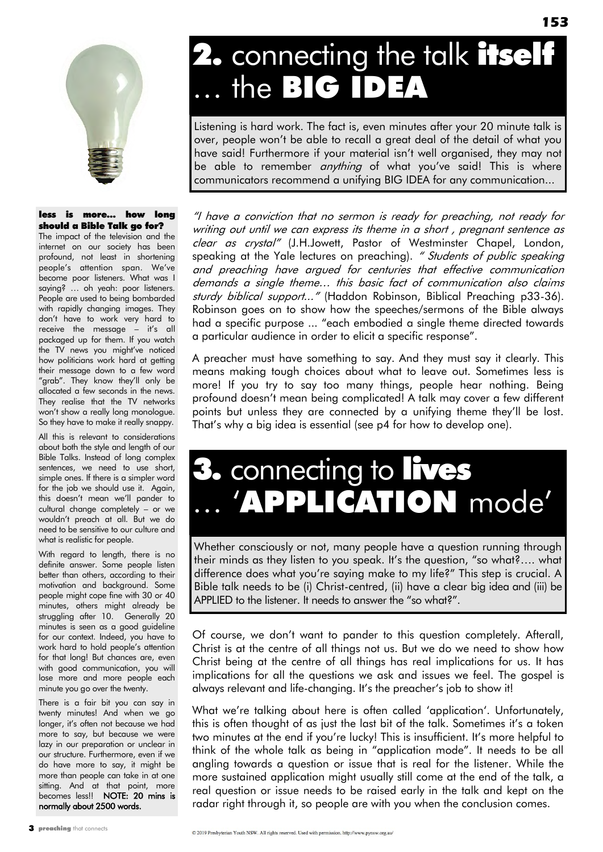

### less is more… how long should a Bible Talk go for?

The impact of the television and the internet on our society has been profound, not least in shortening people's attention span. We've become poor listeners. What was I saying? … oh yeah: poor listeners. People are used to being bombarded with rapidly changing images. They don"t have to work very hard to receive the message – it's all packaged up for them. If you watch the TV news you might've noticed how politicians work hard at getting their message down to a few word "grab". They know they'll only be allocated a few seconds in the news. They realise that the TV networks won"t show a really long monologue. So they have to make it really snappy.

All this is relevant to considerations about both the style and length of our Bible Talks. Instead of long complex sentences, we need to use short, simple ones. If there is a simpler word for the job we should use it. Again, this doesn"t mean we"ll pander to cultural change completely – or we wouldn"t preach at all. But we do need to be sensitive to our culture and what is realistic for people.

With regard to length, there is no definite answer. Some people listen better than others, according to their motivation and background. Some people might cope fine with 30 or 40 minutes, others might already be struggling after 10. Generally 20 minutes is seen as a good guideline for our context. Indeed, you have to work hard to hold people"s attention for that long! But chances are, even with good communication, you will lose more and more people each minute you go over the twenty.

There is a fair bit you can say in twenty minutes! And when we go longer, it's often not because we had more to say, but because we were lazy in our preparation or unclear in our structure. Furthermore, even if we do have more to say, it might be more than people can take in at one sitting. And at that point, more becomes less!! NOTE: 20 mins is normally about 2500 words.

# 2. connecting the talk itself … the BIG IDEA

Listening is hard work. The fact is, even minutes after your 20 minute talk is over, people won"t be able to recall a great deal of the detail of what you have said! Furthermore if your material isn"t well organised, they may not be able to remember *anything* of what you've said! This is where communicators recommend a unifying BIG IDEA for any communication...

"I have a conviction that no sermon is ready for preaching, not ready for writing out until we can express its theme in a short , pregnant sentence as clear as crystal" (J.H.Jowett, Pastor of Westminster Chapel, London, speaking at the Yale lectures on preaching). " Students of public speaking and preaching have argued for centuries that effective communication demands a single theme… this basic fact of communication also claims sturdy biblical support..." (Haddon Robinson, Biblical Preaching p33-36). Robinson goes on to show how the speeches/sermons of the Bible always had a specific purpose ... "each embodied a single theme directed towards a particular audience in order to elicit a specific response".

A preacher must have something to say. And they must say it clearly. This means making tough choices about what to leave out. Sometimes less is more! If you try to say too many things, people hear nothing. Being profound doesn"t mean being complicated! A talk may cover a few different points but unless they are connected by a unifying theme they"ll be lost. That"s why a big idea is essential (see p4 for how to develop one).

# 3. connecting to lives 'APPLICATION mode'

Whether consciously or not, many people have a question running through their minds as they listen to you speak. It"s the question, "so what?…. what difference does what you"re saying make to my life?" This step is crucial. A Bible talk needs to be (i) Christ-centred, (ii) have a clear big idea and (iii) be APPLIED to the listener. It needs to answer the "so what?".

Of course, we don"t want to pander to this question completely. Afterall, Christ is at the centre of all things not us. But we do we need to show how Christ being at the centre of all things has real implications for us. It has implications for all the questions we ask and issues we feel. The gospel is always relevant and life-changing. It's the preacher's job to show it!

What we're talking about here is often called 'application'. Unfortunately, this is often thought of as just the last bit of the talk. Sometimes it"s a token two minutes at the end if you're lucky! This is insufficient. It's more helpful to think of the whole talk as being in "application mode". It needs to be all angling towards a question or issue that is real for the listener. While the more sustained application might usually still come at the end of the talk, a real question or issue needs to be raised early in the talk and kept on the radar right through it, so people are with you when the conclusion comes.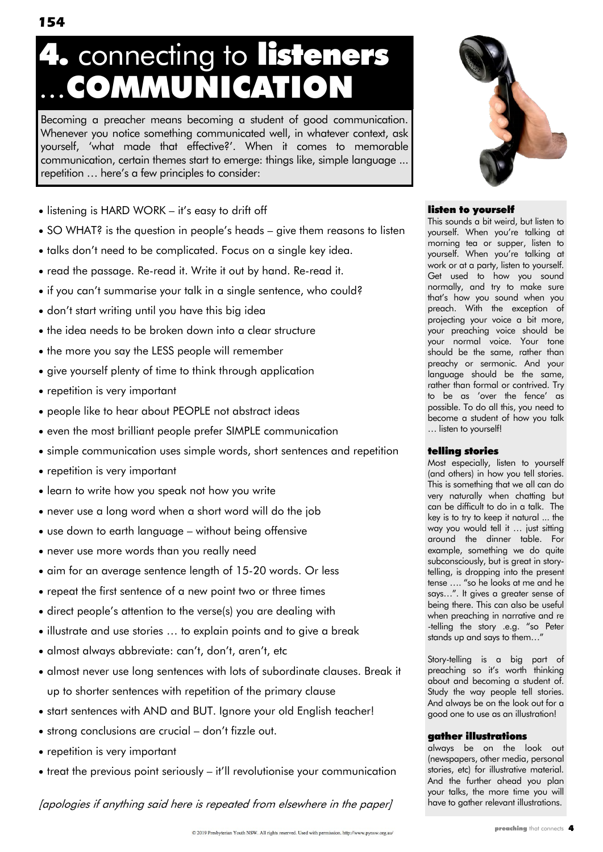Becoming a preacher means becoming a student of good communication. Whenever you notice something communicated well, in whatever context, ask yourself, "what made that effective?". When it comes to memorable communication, certain themes start to emerge: things like, simple language ... repetition ... here's a few principles to consider:

4. connecting to listeners

...COMMUNICATION

- listening is HARD WORK it's easy to drift off
- SO WHAT? is the question in people's heads give them reasons to listen
- talks don"t need to be complicated. Focus on a single key idea.
- read the passage. Re-read it. Write it out by hand. Re-read it.
- if you can't summarise your talk in a single sentence, who could?
- don't start writing until you have this big idea
- the idea needs to be broken down into a clear structure
- the more you say the LESS people will remember
- give yourself plenty of time to think through application
- repetition is very important
- people like to hear about PEOPLE not abstract ideas
- even the most brilliant people prefer SIMPLE communication
- simple communication uses simple words, short sentences and repetition
- repetition is very important
- learn to write how you speak not how you write
- never use a long word when a short word will do the job
- use down to earth language without being offensive
- never use more words than you really need
- aim for an average sentence length of 15-20 words. Or less
- repeat the first sentence of a new point two or three times
- direct people"s attention to the verse(s) you are dealing with
- illustrate and use stories … to explain points and to give a break
- almost always abbreviate: can't, don't, aren't, etc
- almost never use long sentences with lots of subordinate clauses. Break it up to shorter sentences with repetition of the primary clause
- start sentences with AND and BUT. Ignore your old English teacher!
- strong conclusions are crucial don't fizzle out.
- repetition is very important
- treat the previous point seriously it"ll revolutionise your communication

[apologies if anything said here is repeated from elsewhere in the paper]



### listen to yourself

This sounds a bit weird, but listen to yourself. When you"re talking at morning tea or supper, listen to yourself. When you"re talking at work or at a party, listen to yourself. Get used to how you sound normally, and try to make sure that"s how you sound when you preach. With the exception of projecting your voice a bit more, your preaching voice should be your normal voice. Your tone should be the same, rather than preachy or sermonic. And your language should be the same, rather than formal or contrived. Try to be as 'over the fence' as possible. To do all this, you need to become a student of how you talk … listen to yourself!

### telling stories

Most especially, listen to yourself (and others) in how you tell stories. This is something that we all can do very naturally when chatting but can be difficult to do in a talk. The key is to try to keep it natural ... the way you would tell it … just sitting around the dinner table. For example, something we do quite subconsciously, but is great in storytelling, is dropping into the present tense …. "so he looks at me and he says…". It gives a greater sense of being there. This can also be useful when preaching in narrative and re -telling the story .e.g. "so Peter stands up and says to them…"

Story-telling is a big part of preaching so it's worth thinking about and becoming a student of. Study the way people tell stories. And always be on the look out for a good one to use as an illustration!

### gather illustrations

always be on the look out (newspapers, other media, personal stories, etc) for illustrative material. And the further ahead you plan your talks, the more time you will have to gather relevant illustrations.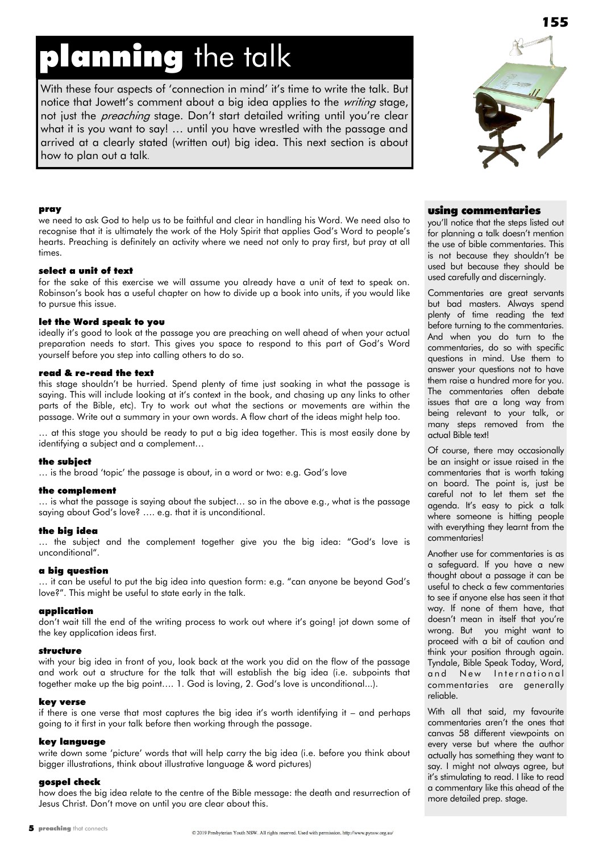# planning the talk

With these four aspects of 'connection in mind' it's time to write the talk. But notice that Jowett's comment about a big idea applies to the writing stage, not just the *preaching* stage. Don't start detailed writing until you're clear what it is you want to say! … until you have wrestled with the passage and arrived at a clearly stated (written out) big idea. This next section is about how to plan out a talk.



#### pray

we need to ask God to help us to be faithful and clear in handling his Word. We need also to recognise that it is ultimately the work of the Holy Spirit that applies God"s Word to people"s hearts. Preaching is definitely an activity where we need not only to pray first, but pray at all times.

#### select a unit of text

for the sake of this exercise we will assume you already have a unit of text to speak on. Robinson"s book has a useful chapter on how to divide up a book into units, if you would like to pursue this issue.

### let the Word speak to you

ideally it's good to look at the passage you are preaching on well ahead of when your actual preparation needs to start. This gives you space to respond to this part of God"s Word yourself before you step into calling others to do so.

#### read & re-read the text

this stage shouldn"t be hurried. Spend plenty of time just soaking in what the passage is saying. This will include looking at it's context in the book, and chasing up any links to other parts of the Bible, etc). Try to work out what the sections or movements are within the passage. Write out a summary in your own words. A flow chart of the ideas might help too.

… at this stage you should be ready to put a big idea together. This is most easily done by identifying a subject and a complement…

#### the subject

… is the broad "topic" the passage is about, in a word or two: e.g. God"s love

#### the complement

… is what the passage is saying about the subject… so in the above e.g., what is the passage saying about God's love? .... e.g. that it is unconditional.

### the big idea

... the subject and the complement together give you the big idea: "God's love is unconditional".

### a big question

… it can be useful to put the big idea into question form: e.g. "can anyone be beyond God"s love?". This might be useful to state early in the talk.

### application

don't wait till the end of the writing process to work out where it's going! jot down some of the key application ideas first.

### structure

with your big idea in front of you, look back at the work you did on the flow of the passage and work out a structure for the talk that will establish the big idea (i.e. subpoints that together make up the big point.... 1. God is loving, 2. God's love is unconditional...).

#### key verse

if there is one verse that most captures the big idea it"s worth identifying it – and perhaps going to it first in your talk before then working through the passage.

### key language

write down some "picture" words that will help carry the big idea (i.e. before you think about bigger illustrations, think about illustrative language & word pictures)

### gospel check

how does the big idea relate to the centre of the Bible message: the death and resurrection of Jesus Christ. Don"t move on until you are clear about this.

### using commentaries

you"ll notice that the steps listed out for planning a talk doesn"t mention the use of bible commentaries. This is not because they shouldn"t be used but because they should be used carefully and discerningly.

Commentaries are great servants but bad masters. Always spend plenty of time reading the text before turning to the commentaries. And when you do turn to the commentaries, do so with specific questions in mind. Use them to answer your questions not to have them raise a hundred more for you. The commentaries often debate issues that are a long way from being relevant to your talk, or many steps removed from the actual Bible text!

Of course, there may occasionally be an insight or issue raised in the commentaries that is worth taking on board. The point is, just be careful not to let them set the agenda. It"s easy to pick a talk where someone is hitting people with everything they learnt from the commentaries!

Another use for commentaries is as a safeguard. If you have a new thought about a passage it can be useful to check a few commentaries to see if anyone else has seen it that way. If none of them have, that doesn"t mean in itself that you"re wrong. But you might want to proceed with a bit of caution and think your position through again. Tyndale, Bible Speak Today, Word, and New International commentaries are generally reliable.

With all that said, my favourite commentaries aren"t the ones that canvas 58 different viewpoints on every verse but where the author actually has something they want to say. I might not always agree, but it"s stimulating to read. I like to read a commentary like this ahead of the more detailed prep. stage.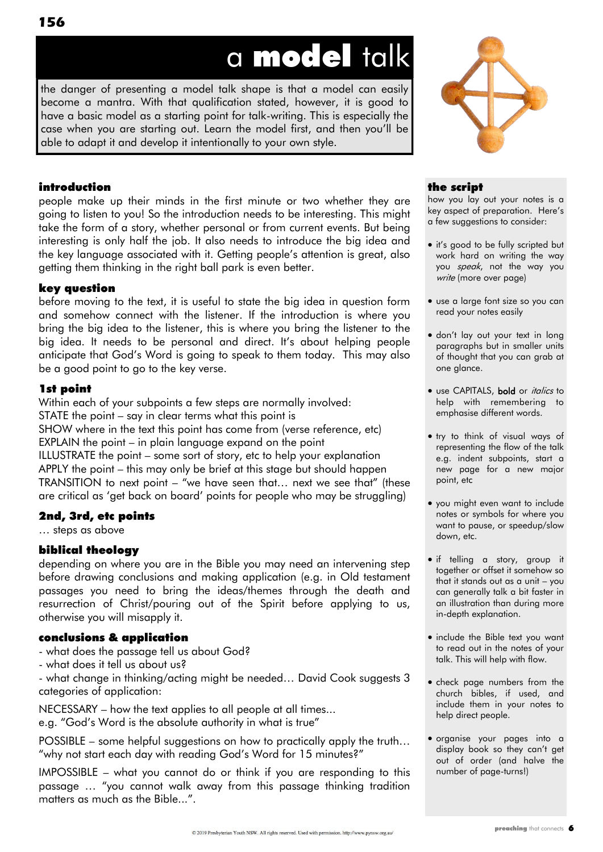# a model talk

the danger of presenting a model talk shape is that a model can easily become a mantra. With that qualification stated, however, it is good to have a basic model as a starting point for talk-writing. This is especially the case when you are starting out. Learn the model first, and then you"ll be able to adapt it and develop it intentionally to your own style.



### introduction

people make up their minds in the first minute or two whether they are going to listen to you! So the introduction needs to be interesting. This might take the form of a story, whether personal or from current events. But being interesting is only half the job. It also needs to introduce the big idea and the key language associated with it. Getting people"s attention is great, also getting them thinking in the right ball park is even better.

### key question

before moving to the text, it is useful to state the big idea in question form and somehow connect with the listener. If the introduction is where you bring the big idea to the listener, this is where you bring the listener to the big idea. It needs to be personal and direct. It"s about helping people anticipate that God"s Word is going to speak to them today. This may also be a good point to go to the key verse.

### 1st point

Within each of your subpoints a few steps are normally involved: STATE the point – say in clear terms what this point is SHOW where in the text this point has come from (verse reference, etc) EXPLAIN the point – in plain language expand on the point ILLUSTRATE the point – some sort of story, etc to help your explanation APPLY the point – this may only be brief at this stage but should happen TRANSITION to next point – "we have seen that… next we see that" (these are critical as "get back on board" points for people who may be struggling)

### 2nd, 3rd, etc points

… steps as above

### biblical theology

depending on where you are in the Bible you may need an intervening step before drawing conclusions and making application (e.g. in Old testament passages you need to bring the ideas/themes through the death and resurrection of Christ/pouring out of the Spirit before applying to us, otherwise you will misapply it.

### conclusions & application

- what does the passage tell us about God?
- what does it tell us about us?

- what change in thinking/acting might be needed… David Cook suggests 3 categories of application:

NECESSARY – how the text applies to all people at all times... e.g. "God"s Word is the absolute authority in what is true"

POSSIBLE – some helpful suggestions on how to practically apply the truth… "why not start each day with reading God"s Word for 15 minutes?"

IMPOSSIBLE – what you cannot do or think if you are responding to this passage … "you cannot walk away from this passage thinking tradition matters as much as the Bible...".

### the script

how you lay out your notes is a key aspect of preparation. Here"s a few suggestions to consider:

- it's good to be fully scripted but work hard on writing the way you speak, not the way you write (more over page)
- use a large font size so you can read your notes easily
- don't lay out your text in long paragraphs but in smaller units of thought that you can grab at one glance.
- · use CAPITALS, bold or *italics* to help with remembering to emphasise different words.
- try to think of visual ways of representing the flow of the talk e.g. indent subpoints, start a new page for a new major point, etc
- you might even want to include notes or symbols for where you want to pause, or speedup/slow down, etc.
- if telling a story, group it together or offset it somehow so that it stands out as a unit – you can generally talk a bit faster in an illustration than during more in-depth explanation.
- include the Bible text you want to read out in the notes of your talk. This will help with flow.
- check page numbers from the church bibles, if used, and include them in your notes to help direct people.
- organise your pages into a display book so they can't get out of order (and halve the number of page-turns!)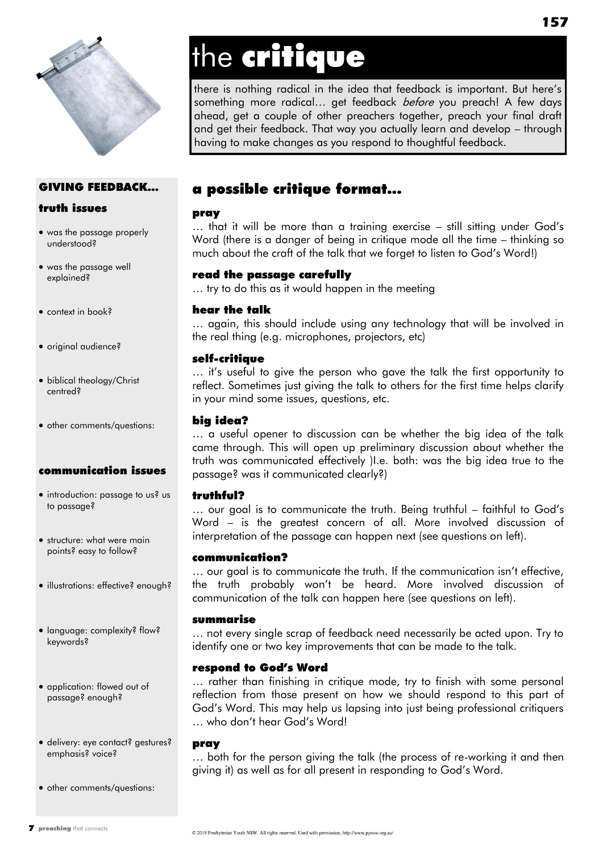

# the critique

there is nothing radical in the idea that feedback is important. But here"s something more radical... get feedback *before* you preach! A few days ahead, get a couple of other preachers together, preach your final draft and get their feedback. That way you actually learn and develop – through having to make changes as you respond to thoughtful feedback.

### GIVING FEEDBACK…

### truth issues

- was the passage properly understood?
- was the passage well explained?
- context in book?
- original audience?
- biblical theology/Christ centred?
- other comments/questions:

### communication issues

- introduction: passage to us? us to passage?
- structure: what were main points? easy to follow?
- illustrations: effective? enough?
- language: complexity? flow? keywords?
- application: flowed out of passage? enough?
- delivery: eye contact? gestures? emphasis? voice?
- other comments/questions:

### a possible critique format...

### pray

… that it will be more than a training exercise – still sitting under God"s Word (there is a danger of being in critique mode all the time – thinking so much about the craft of the talk that we forget to listen to God"s Word!)

### read the passage carefully

… try to do this as it would happen in the meeting

### hear the talk

… again, this should include using any technology that will be involved in the real thing (e.g. microphones, projectors, etc)

### self-critique

... it's useful to give the person who gave the talk the first opportunity to reflect. Sometimes just giving the talk to others for the first time helps clarify in your mind some issues, questions, etc.

### big idea?

… a useful opener to discussion can be whether the big idea of the talk came through. This will open up preliminary discussion about whether the truth was communicated effectively )I.e. both: was the big idea true to the passage? was it communicated clearly?)

### truthful?

… our goal is to communicate the truth. Being truthful – faithful to God"s Word – is the greatest concern of all. More involved discussion of interpretation of the passage can happen next (see questions on left).

### communication?

... our goal is to communicate the truth. If the communication isn't effective, the truth probably won"t be heard. More involved discussion of communication of the talk can happen here (see questions on left).

### summarise

… not every single scrap of feedback need necessarily be acted upon. Try to identify one or two key improvements that can be made to the talk.

### respond to God's Word

… rather than finishing in critique mode, try to finish with some personal reflection from those present on how we should respond to this part of God"s Word. This may help us lapsing into just being professional critiquers … who don"t hear God"s Word!

### pray

… both for the person giving the talk (the process of re-working it and then giving it) as well as for all present in responding to God"s Word.